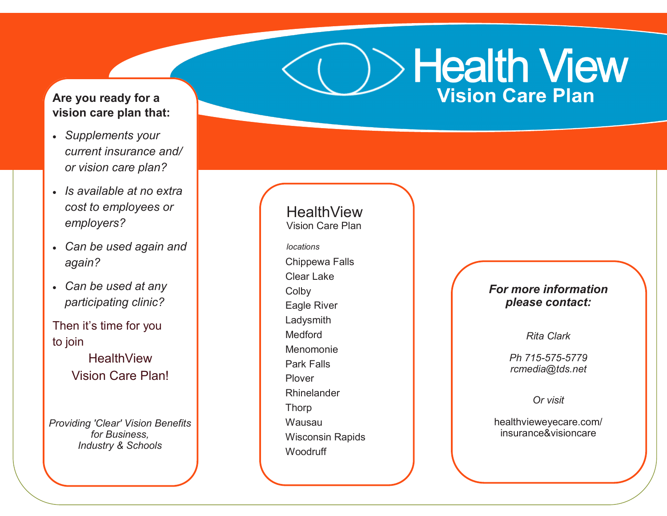## **Are you ready for a vision care plan that:**

- *Supplements your current insurance and/ or vision care plan?*
- *Is available at no extra cost to employees or employers?*
- *Can be used again and again?*
- *Can be used at any participating clinic?*

Then it's time for you to join **HealthView** Vision Care Plan!

*Providing 'Clear' Vision Benefits for Business, Industry & Schools*

Chippewa Falls Clear Lake **Colby** Eagle River Ladysmith Medford Menomonie Park Falls Plover Rhinelander Thorp Wausau Wisconsin Rapids **Woodruff HealthView** Vision Care Plan *locations*

*For more information please contact:*

Health View

**Vision Care Plan** 

*Rita Clark*

For more information contact: *Ph 715-575-5779 rcmedia@tds.net*

*Or visit* 

healthvieweyecare.com/ insurance&visioncare